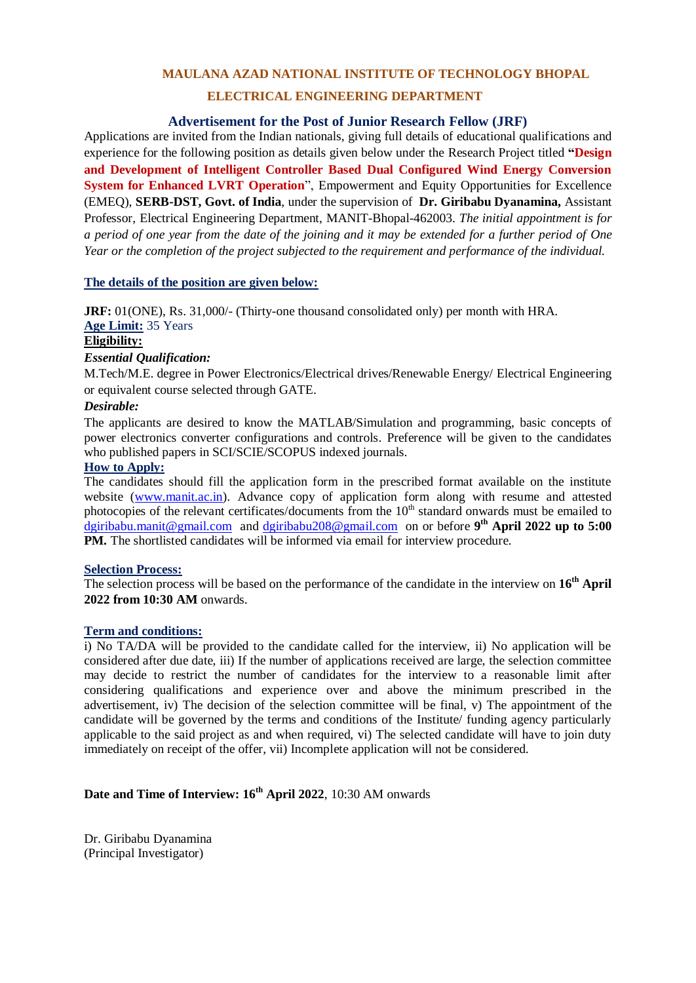# **MAULANA AZAD NATIONAL INSTITUTE OF TECHNOLOGY BHOPAL**

# **ELECTRICAL ENGINEERING DEPARTMENT**

## **Advertisement for the Post of Junior Research Fellow (JRF)**

Applications are invited from the Indian nationals, giving full details of educational qualifications and experience for the following position as details given below under the Research Project titled **"Design and Development of Intelligent Controller Based Dual Configured Wind Energy Conversion System for Enhanced LVRT Operation**", Empowerment and Equity Opportunities for Excellence (EMEQ), **SERB-DST, Govt. of India**, under the supervision of **Dr. Giribabu Dyanamina,** Assistant Professor, Electrical Engineering Department, MANIT-Bhopal-462003. *The initial appointment is for a period of one year from the date of the joining and it may be extended for a further period of One Year or the completion of the project subjected to the requirement and performance of the individual.*

## **The details of the position are given below:**

**JRF:** 01(ONE), Rs. 31,000/- (Thirty-one thousand consolidated only) per month with HRA. **Age Limit:** 35 Years **Eligibility:**

# *Essential Qualification:*

M.Tech/M.E. degree in Power Electronics/Electrical drives/Renewable Energy/ Electrical Engineering or equivalent course selected through GATE.

## *Desirable:*

The applicants are desired to know the MATLAB/Simulation and programming, basic concepts of power electronics converter configurations and controls. Preference will be given to the candidates who published papers in SCI/SCIE/SCOPUS indexed journals.

## **How to Apply:**

The candidates should fill the application form in the prescribed format available on the institute website [\(www.manit.ac.in\)](http://www.manit.ac.in/). Advance copy of application form along with resume and attested photocopies of the relevant certificates/documents from the 10<sup>th</sup> standard onwards must be emailed to [dgiribabu.manit@gmail.com](mailto:dgiribabu.manit@gmail.com) and [dgiribabu208@gmail.com](mailto:dgiribabu208@gmail.com) on or before **9 th April 2022 up to 5:00 PM.** The shortlisted candidates will be informed via email for interview procedure.

## **Selection Process:**

The selection process will be based on the performance of the candidate in the interview on **16th April 2022 from 10:30 AM** onwards.

## **Term and conditions:**

i) No TA/DA will be provided to the candidate called for the interview, ii) No application will be considered after due date, iii) If the number of applications received are large, the selection committee may decide to restrict the number of candidates for the interview to a reasonable limit after considering qualifications and experience over and above the minimum prescribed in the advertisement, iv) The decision of the selection committee will be final, v) The appointment of the candidate will be governed by the terms and conditions of the Institute/ funding agency particularly applicable to the said project as and when required, vi) The selected candidate will have to join duty immediately on receipt of the offer, vii) Incomplete application will not be considered.

# **Date and Time of Interview: 16th April 2022**, 10:30 AM onwards

Dr. Giribabu Dyanamina (Principal Investigator)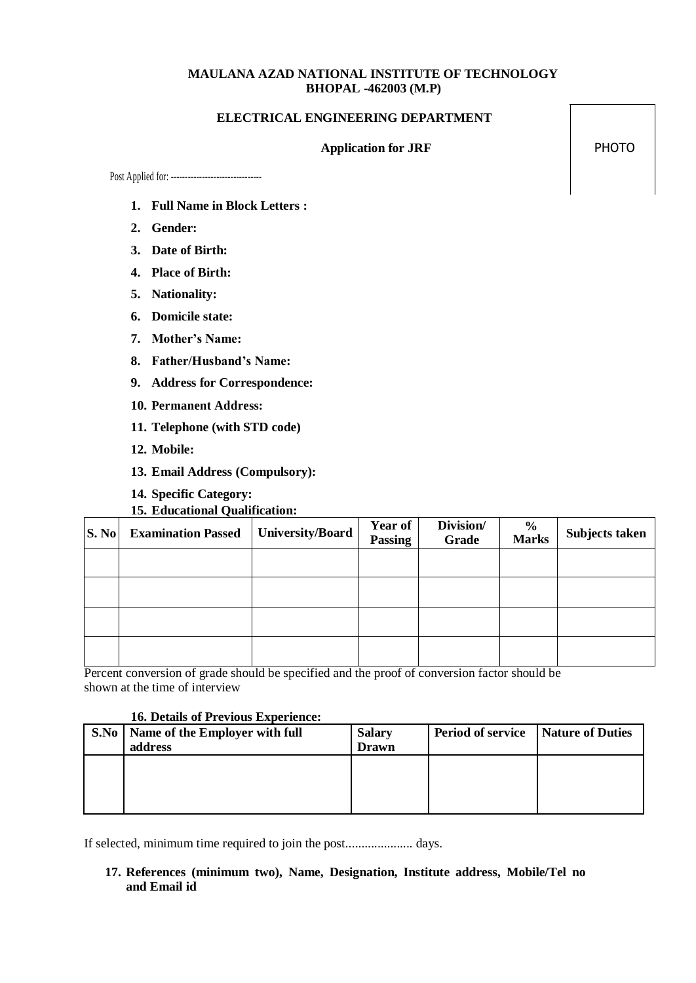# **MAULANA AZAD NATIONAL INSTITUTE OF TECHNOLOGY BHOPAL -462003 (M.P)**

#### **ELECTRICAL ENGINEERING DEPARTMENT**

#### Application for JRF PHOTO

Post Applied for: --------------------------------

- **1. Full Name in Block Letters :**
- **2. Gender:**
- **3. Date of Birth:**
- **4. Place of Birth:**
- **5. Nationality:**
- **6. Domicile state:**
- **7. Mother's Name:**
- **8. Father/Husband's Name:**
- **9. Address for Correspondence:**
- **10. Permanent Address:**
- **11. Telephone (with STD code)**
- **12. Mobile:**
- **13. Email Address (Compulsory):**
- **14. Specific Category:**
- **15. Educational Qualification:**

| S. No | <b>Examination Passed</b> | <b>University/Board</b> | Year of<br><b>Passing</b> | Division/<br>Grade | $\frac{0}{0}$<br><b>Marks</b> | <b>Subjects taken</b> |
|-------|---------------------------|-------------------------|---------------------------|--------------------|-------------------------------|-----------------------|
|       |                           |                         |                           |                    |                               |                       |
|       |                           |                         |                           |                    |                               |                       |
|       |                           |                         |                           |                    |                               |                       |
|       |                           |                         |                           |                    |                               |                       |

Percent conversion of grade should be specified and the proof of conversion factor should be shown at the time of interview

## **16. Details of Previous Experience:**

| S.No   Name of the Employer with full | <b>Salary</b> | <b>Period of service</b> | <b>Nature of Duties</b> |
|---------------------------------------|---------------|--------------------------|-------------------------|
| address                               | <b>Drawn</b>  |                          |                         |
|                                       |               |                          |                         |
|                                       |               |                          |                         |
|                                       |               |                          |                         |
|                                       |               |                          |                         |

If selected, minimum time required to join the post..................... days.

**17. References (minimum two), Name, Designation, Institute address, Mobile/Tel no and Email id**